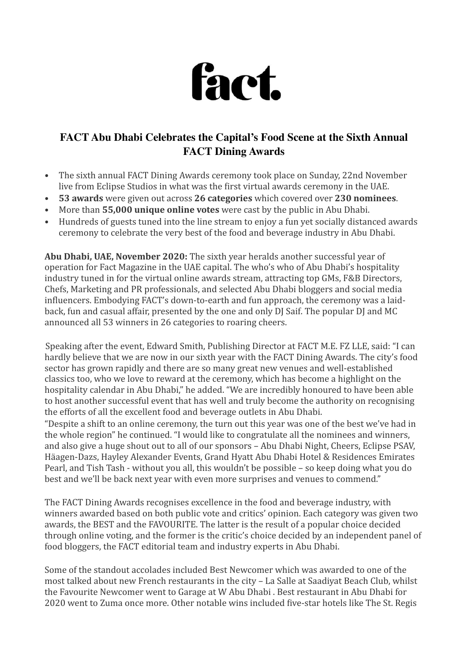

## **FACT Abu Dhabi Celebrates the Capital's Food Scene at the Sixth Annual FACT Dining Awards**

- The sixth annual FACT Dining Awards ceremony took place on Sunday, 22nd November live from Eclipse Studios in what was the first virtual awards ceremony in the UAE.
- 53 awards were given out across 26 categories which covered over 230 nominees.
- More than **55,000 unique online votes** were cast by the public in Abu Dhabi.
- Hundreds of guests tuned into the line stream to enjoy a fun yet socially distanced awards ceremony to celebrate the very best of the food and beverage industry in Abu Dhabi.

Abu Dhabi, UAE, November 2020: The sixth year heralds another successful year of operation for Fact Magazine in the UAE capital. The who's who of Abu Dhabi's hospitality industry tuned in for the virtual online awards stream, attracting top GMs, F&B Directors, Chefs, Marketing and PR professionals, and selected Abu Dhabi bloggers and social media influencers. Embodying FACT's down-to-earth and fun approach, the ceremony was a laidback, fun and casual affair, presented by the one and only DJ Saif. The popular DJ and MC announced all 53 winners in 26 categories to roaring cheers.

Speaking after the event, Edward Smith, Publishing Director at FACT M.E. FZ LLE, said: "I can hardly believe that we are now in our sixth year with the FACT Dining Awards. The city's food sector has grown rapidly and there are so many great new venues and well-established classics too, who we love to reward at the ceremony, which has become a highlight on the hospitality calendar in Abu Dhabi," he added. "We are incredibly honoured to have been able to host another successful event that has well and truly become the authority on recognising the efforts of all the excellent food and beverage outlets in Abu Dhabi.

"Despite a shift to an online ceremony, the turn out this year was one of the best we've had in the whole region" he continued. "I would like to congratulate all the nominees and winners, and also give a huge shout out to all of our sponsors – Abu Dhabi Night, Cheers, Eclipse PSAV, Häagen-Dazs, Hayley Alexander Events, Grand Hyatt Abu Dhabi Hotel & Residences Emirates Pearl, and Tish Tash - without you all, this wouldn't be possible - so keep doing what you do best and we'll be back next year with even more surprises and venues to commend."

The FACT Dining Awards recognises excellence in the food and beverage industry, with winners awarded based on both public vote and critics' opinion. Each category was given two awards, the BEST and the FAVOURITE. The latter is the result of a popular choice decided through online voting, and the former is the critic's choice decided by an independent panel of food bloggers, the FACT editorial team and industry experts in Abu Dhabi.

Some of the standout accolades included Best Newcomer which was awarded to one of the most talked about new French restaurants in the city – La Salle at Saadiyat Beach Club, whilst the Favourite Newcomer went to Garage at W Abu Dhabi. Best restaurant in Abu Dhabi for 2020 went to Zuma once more. Other notable wins included five-star hotels like The St. Regis